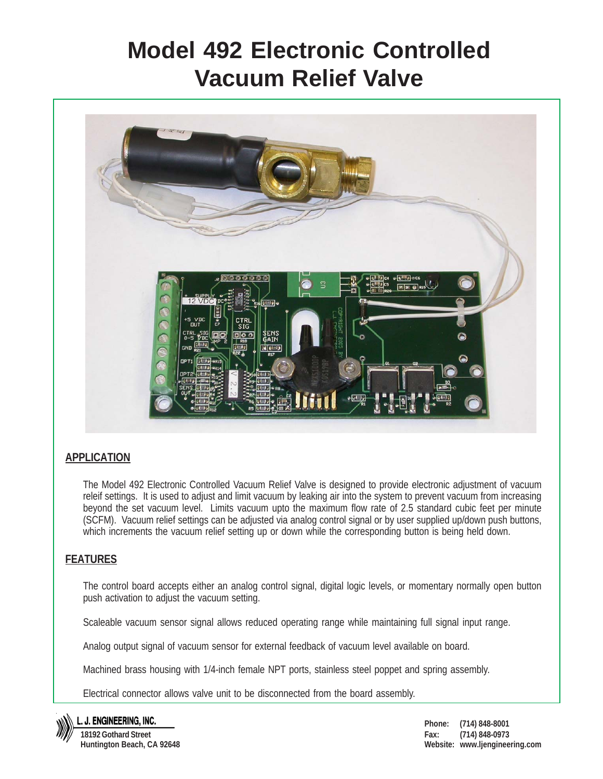# **Model 492 Electronic Controlled Vacuum Relief Valve**



## **APPLICATION**

The Model 492 Electronic Controlled Vacuum Relief Valve is designed to provide electronic adjustment of vacuum releif settings. It is used to adjust and limit vacuum by leaking air into the system to prevent vacuum from increasing beyond the set vacuum level. Limits vacuum upto the maximum flow rate of 2.5 standard cubic feet per minute (SCFM). Vacuum relief settings can be adjusted via analog control signal or by user supplied up/down push buttons, which increments the vacuum relief setting up or down while the corresponding button is being held down.

## **FEATURES**

The control board accepts either an analog control signal, digital logic levels, or momentary normally open button push activation to adjust the vacuum setting.

Scaleable vacuum sensor signal allows reduced operating range while maintaining full signal input range.

Analog output signal of vacuum sensor for external feedback of vacuum level available on board.

Machined brass housing with 1/4-inch female NPT ports, stainless steel poppet and spring assembly.

Electrical connector allows valve unit to be disconnected from the board assembly.



L. J. ENGINEERING, INC.

**18192 Gothard Street Huntington Beach, CA 92648** **Phone: (714) 848-8001 Fax: (714) 848-0973 Website: www.ljengineering.com**